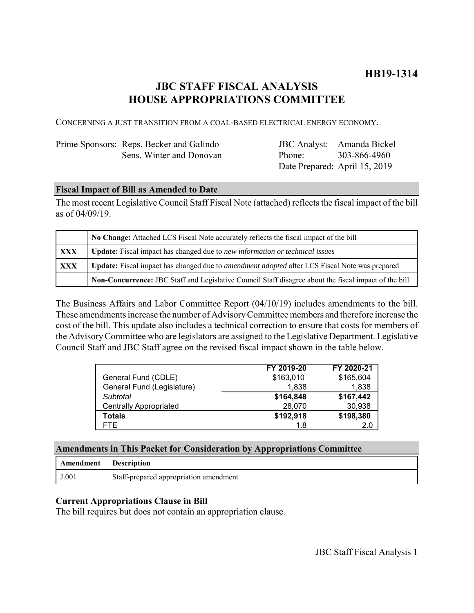# **JBC STAFF FISCAL ANALYSIS HOUSE APPROPRIATIONS COMMITTEE**

CONCERNING A JUST TRANSITION FROM A COAL-BASED ELECTRICAL ENERGY ECONOMY.

| Prime Sponsors: Reps. Becker and Galindo |
|------------------------------------------|
| Sens. Winter and Donovan                 |

JBC Analyst: Amanda Bickel Phone: Date Prepared: April 15, 2019 303-866-4960

## **Fiscal Impact of Bill as Amended to Date**

The most recent Legislative Council Staff Fiscal Note (attached) reflects the fiscal impact of the bill as of 04/09/19.

|            | No Change: Attached LCS Fiscal Note accurately reflects the fiscal impact of the bill                       |  |
|------------|-------------------------------------------------------------------------------------------------------------|--|
| XXX        | <b>Update:</b> Fiscal impact has changed due to new information or technical issues                         |  |
| <b>XXX</b> | <b>Update:</b> Fiscal impact has changed due to <i>amendment adopted</i> after LCS Fiscal Note was prepared |  |
|            | Non-Concurrence: JBC Staff and Legislative Council Staff disagree about the fiscal impact of the bill       |  |

The Business Affairs and Labor Committee Report (04/10/19) includes amendments to the bill. These amendments increase the number of Advisory Committee members and therefore increase the cost of the bill. This update also includes a technical correction to ensure that costs for members of the Advisory Committee who are legislators are assigned to the Legislative Department. Legislative Council Staff and JBC Staff agree on the revised fiscal impact shown in the table below.

|                               | FY 2019-20 | FY 2020-21 |
|-------------------------------|------------|------------|
| General Fund (CDLE)           | \$163,010  | \$165,604  |
| General Fund (Legislature)    | 1.838      | 1.838      |
| Subtotal                      | \$164,848  | \$167,442  |
| <b>Centrally Appropriated</b> | 28,070     | 30,938     |
| Totals                        | \$192,918  | \$198,380  |
| FTE.                          | 1.8        | 2.0        |

| Amendment | <b>Description</b>                     |
|-----------|----------------------------------------|
| J.001     | Staff-prepared appropriation amendment |

## **Current Appropriations Clause in Bill**

The bill requires but does not contain an appropriation clause.